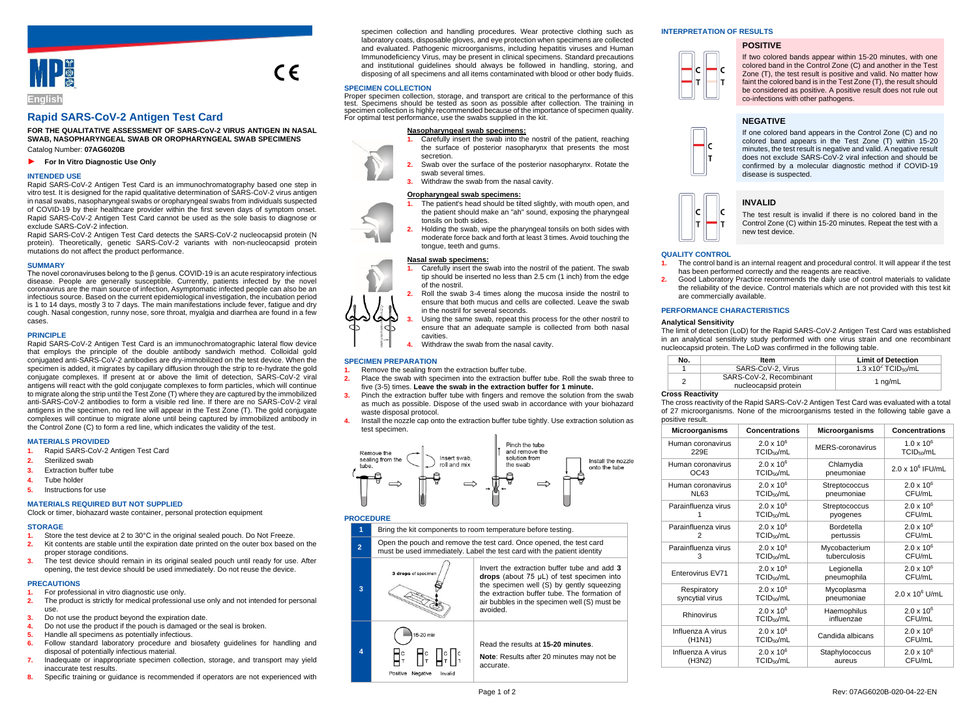

# **Rapid SARS-CoV-2 Antigen Test Card**

**FOR THE QUALITATIVE ASSESSMENT OF SARS-CoV-2 VIRUS ANTIGEN IN NASAL SWAB, NASOPHARYNGEAL SWAB OR OROPHARYNGEAL SWAB SPECIMENS** Catalog Number: **07AG6020B**

► **For In Vitro Diagnostic Use Only**

## **INTENDED USE**

Rapid SARS-CoV-2 Antigen Test Card is an immunochromatography based one step in vitro test. It is designed for the rapid qualitative determination of SARS-CoV-2 virus antigen in nasal swabs, nasopharyngeal swabs or oropharyngeal swabs from individuals suspected of COVID-19 by their healthcare provider within the first seven days of symptom onset. Rapid SARS-CoV-2 Antigen Test Card cannot be used as the sole basis to diagnose or exclude SARS-CoV-2 infection.

Rapid SARS-CoV-2 Antigen Test Card detects the SARS-CoV-2 nucleocapsid protein (N protein). Theoretically, genetic SARS-CoV-2 variants with non-nucleocapsid protein mutations do not affect the product performance.

#### **SUMMARY**

The novel coronaviruses belong to the β genus. COVID-19 is an acute respiratory infectious disease. People are generally susceptible. Currently, patients infected by the novel coronavirus are the main source of infection, Asymptomatic infected people can also be an infectious source. Based on the current epidemiological investigation, the incubation period is 1 to 14 days, mostly 3 to 7 days. The main manifestations include fever, fatigue and dry cough. Nasal congestion, runny nose, sore throat, myalgia and diarrhea are found in a few cases.

## **PRINCIPLE**

Rapid SARS-CoV-2 Antigen Test Card is an immunochromatographic lateral flow device that employs the principle of the double antibody sandwich method. Colloidal gold conjugated anti-SARS-CoV-2 antibodies are dry-immobilized on the test device. When the specimen is added, it migrates by capillary diffusion through the strip to re-hydrate the gold conjugate complexes. If present at or above the limit of detection, SARS-CoV-2 viral antigens will react with the gold conjugate complexes to form particles, which will continue to migrate along the strip until the Test Zone (T) where they are captured by the immobilized anti-SARS-CoV-2 antibodies to form a visible red line. If there are no SARS-CoV-2 viral antigens in the specimen, no red line will appear in the Test Zone (T). The gold conjugate complexes will continue to migrate alone until being captured by immobilized antibody in the Control Zone (C) to form a red line, which indicates the validity of the test.

#### **MATERIALS PROVIDED**

- **1.** Rapid SARS-CoV-2 Antigen Test Card
- **2.** Sterilized swab
- **3.** Extraction buffer tube
- **4.** Tube holder
- **5.** Instructions for use

## **MATERIALS REQUIRED BUT NOT SUPPLIED**

Clock or timer, biohazard waste container, personal protection equipment

# **STORAGE**

- **1.** Store the test device at 2 to 30°C in the original sealed pouch. Do Not Freeze. **2.** Kit contents are stable until the expiration date printed on the outer box based on the proper storage conditions.
- **3.** The test device should remain in its original sealed pouch until ready for use. After opening, the test device should be used immediately. Do not reuse the device.

#### **PRECAUTIONS**

- **1.** For professional in vitro diagnostic use only.
- **2.** The product is strictly for medical professional use only and not intended for personal  $\overline{\phantom{a}}$
- **3.** Do not use the product beyond the expiration date.
- **4.** Do not use the product if the pouch is damaged or the seal is broken.
- **5.** Handle all specimens as potentially infectious.
- **6.** Follow standard laboratory procedure and biosafety guidelines for handling and disposal of potentially infectious material.
- **7.** Inadequate or inappropriate specimen collection, storage, and transport may yield inaccurate test results.
- **8.** Specific training or guidance is recommended if operators are not experienced with

specimen collection and handling procedures. Wear protective clothing such as laboratory coats, disposable gloves, and eye protection when specimens are collected and evaluated. Pathogenic microorganisms, including hepatitis viruses and Human Immunodeficiency Virus, may be present in clinical specimens. Standard precautions and institutional guidelines should always be followed in handling, storing, and disposing of all specimens and all items contaminated with blood or other body fluids.

## **SPECIMEN COLLECTION**

 $\epsilon$ 

Proper specimen collection, storage, and transport are critical to the performance of this test. Specimens should be tested as soon as possible after collection. The training in specimen collection is highly recommended because of the importance of specimen quality. For optimal test performance, use the swabs supplied in the kit.

## **Nasopharyngeal swab specimens:**

- **1.** Carefully insert the swab into the nostril of the patient, reaching the surface of posterior nasopharynx that presents the most secretion.
- **2.** Swab over the surface of the posterior nasopharynx. Rotate the swab several times.
- **3.** Withdraw the swab from the nasal cavity.

## **Oropharyngeal swab specimens:**

- **1.** The patient's head should be tilted slightly, with mouth open, and the patient should make an "ah" sound, exposing the pharyngeal tonsils on both sides.
- **2.** Holding the swab, wipe the pharyngeal tonsils on both sides with moderate force back and forth at least 3 times. Avoid touching the tongue, teeth and gums.

#### **Nasal swab specimens:**

- **1.** Carefully insert the swab into the nostril of the patient. The swab tip should be inserted no less than 2.5 cm (1 inch) from the edge of the nostril.
- **2.** Roll the swab 3-4 times along the mucosa inside the nostril to ensure that both mucus and cells are collected. Leave the swab in the nostril for several seconds.
- **3.** Using the same swab, repeat this process for the other nostril to ensure that an adequate sample is collected from both nasal cavities.
- **4.** Withdraw the swab from the nasal cavity.

## **SPECIMEN PREPARATION**

- **1.** Remove the sealing from the extraction buffer tube.
- **2.** Place the swab with specimen into the extraction buffer tube. Roll the swab three to five (3-5) times. **Leave the swab in the extraction buffer for 1 minute.**
- **3.** Pinch the extraction buffer tube with fingers and remove the solution from the swab as much as possible. Dispose of the used swab in accordance with your biohazard waste disposal protocol.
- **4.** Install the nozzle cap onto the extraction buffer tube tightly. Use extraction solution as test specimen.



#### **PROCEDURE**



#### **INTERPRETATION OF RESULTS**

## **POSITIVE**



If two colored bands appear within 15-20 minutes, with one colored band in the Control Zone (C) and another in the Test Zone (T), the test result is positive and valid. No matter how faint the colored band is in the Test Zone (T), the result should be considered as positive. A positive result does not rule out co-infections with other pathogens.

## **NEGATIVE**



If one colored band appears in the Control Zone (C) and no colored band appears in the Test Zone (T) within 15-20 minutes, the test result is negative and valid. A negative result does not exclude SARS-CoV-2 viral infection and should be confirmed by a molecular diagnostic method if COVID-19 disease is suspected.



The test result is invalid if there is no colored band in the Control Zone (C) within 15-20 minutes. Repeat the test with a new test device.

#### **QUALITY CONTROL**

- **1.** The control band is an internal reagent and procedural control. It will appear if the test has been performed correctly and the reagents are reactive.
- **2.** Good Laboratory Practice recommends the daily use of control materials to validate the reliability of the device. Control materials which are not provided with this test kit are commercially available.

## **PERFORMANCE CHARACTERISTICS**

#### **Analytical Sensitivity**

The limit of detection (LoD) for the Rapid SARS-CoV-2 Antigen Test Card was established in an analytical sensitivity study performed with one virus strain and one recombinant nucleocapsid protein. The LoD was confirmed in the following table.

| No. | Item                                            | <b>Limit of Detection</b>                |
|-----|-------------------------------------------------|------------------------------------------|
|     | SARS-CoV-2, Virus                               | $1.3 \times 10^2$ TCID <sub>50</sub> /mL |
|     | SARS-CoV-2, Recombinant<br>nucleocapsid protein | 1 ng/mL                                  |

## **Cross Reactivity**

The cross reactivity of the Rapid SARS-CoV-2 Antigen Test Card was evaluated with a total of 27 microorganisms. None of the microorganisms tested in the following table gave a positive result.

| <b>Microorganisms</b>            | <b>Concentrations</b>  | Microorganisms          | <b>Concentrations</b>    |  |
|----------------------------------|------------------------|-------------------------|--------------------------|--|
| Human coronavirus                | $2.0 \times 10^{6}$    | <b>MERS-coronavirus</b> | $1.0 \times 10^{6}$      |  |
| 229E                             | TCID <sub>50</sub> /mL |                         | TCID <sub>50</sub> /mL   |  |
| Human coronavirus                | $2.0 \times 10^{6}$    | Chlamydia               | $2.0 \times 10^6$ IFU/mL |  |
| OC43                             | TCID <sub>50</sub> /mL | pneumoniae              |                          |  |
| Human coronavirus                | $2.0 \times 10^{6}$    |                         | $2.0 \times 10^{6}$      |  |
| <b>NL63</b>                      | TCID <sub>50</sub> /mL |                         | CFU/mL                   |  |
| Parainfluenza virus              | $2.0 \times 10^{6}$    | Streptococcus           | $2.0 \times 10^{6}$      |  |
|                                  | TCID <sub>50</sub> /mL | pyogenes                | CFU/mL                   |  |
| Parainfluenza virus              | $2.0 \times 10^{6}$    | Bordetella              | $2.0 \times 10^{6}$      |  |
| 2                                | TCID <sub>50</sub> /mL | pertussis               | CFU/mL                   |  |
| Parainfluenza virus              | $2.0 \times 10^{6}$    | Mycobacterium           | $2.0 \times 10^{6}$      |  |
| 3                                | $TCID_{50}/mL$         | tuberculosis            | CFU/mL                   |  |
| Enterovirus EV71                 | $2.0 \times 10^6$      | Legionella              | $2.0 \times 10^{6}$      |  |
|                                  | TCID <sub>50</sub> /mL | pneumophila             | CFU/mL                   |  |
| Respiratory                      | $2.0 \times 10^{6}$    | Mycoplasma              | $2.0 \times 10^6$ U/mL   |  |
| syncytial virus                  | TCID <sub>50</sub> /mL | pneumoniae              |                          |  |
| Rhinovirus                       | $2.0 \times 10^{6}$    | Haemophilus             | $2.0 \times 10^{6}$      |  |
|                                  | TCID <sub>50</sub> /mL | influenzae              | CFU/mL                   |  |
| Influenza A virus                | $2.0 \times 10^{6}$    | Candida albicans        | $2.0 \times 10^{6}$      |  |
| (H <sub>1</sub> N <sub>1</sub> ) | TCID <sub>50</sub> /mL |                         | CFU/mL                   |  |
| Influenza A virus                | $2.0 \times 10^{6}$    | Staphylococcus          | $2.0 \times 10^{6}$      |  |
| (H3N2)                           | TCID <sub>50</sub> /mL | aureus                  | CFU/mL                   |  |